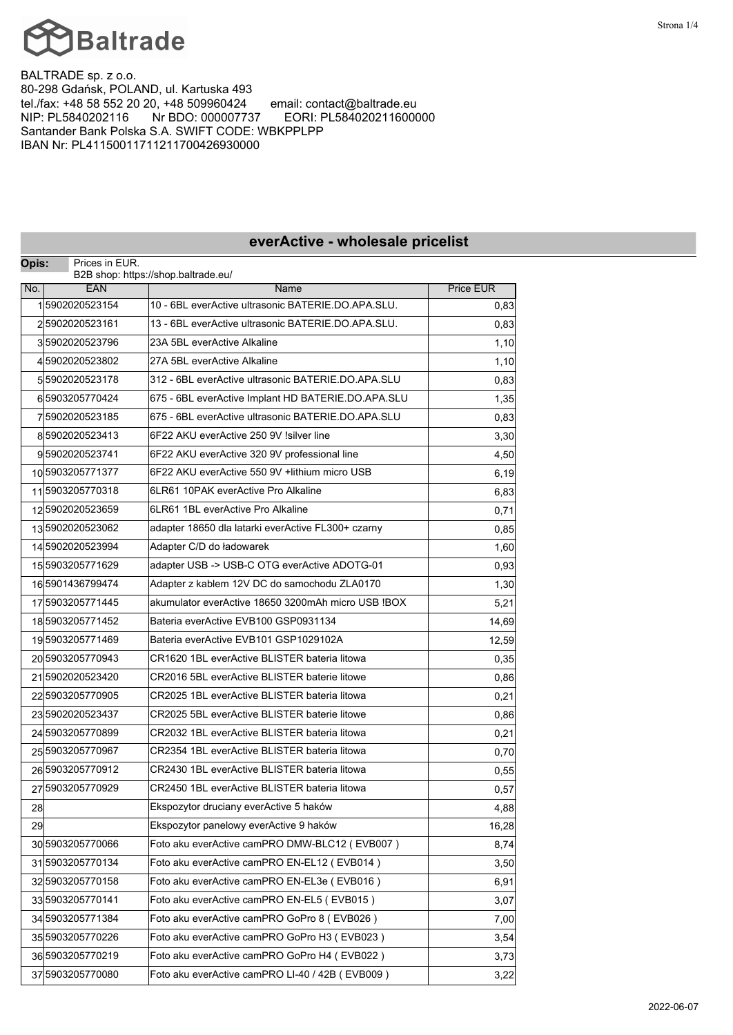

BALTRADE sp. z o.o. 80-298 Gdańsk, POLAND, ul. Kartuska 493<br>tel./fax: +48 58 552 20 20, +48 509960424 email: contact@baltrade.eu tel./fax: +48 58 552 20 20, +48 509960424<br>NIP: PL5840202116 Nr BDO: 000007737 NIP: PL5840202116 Nr BDO: 000007737 EORI: PL584020211600000 Santander Bank Polska S.A. SWIFT CODE: WBKPPLPP IBAN Nr: PL41150011711211700426930000

| Opis: | Prices in EUR.   | B2B shop: https://shop.baltrade.eu/                |                  |  |  |
|-------|------------------|----------------------------------------------------|------------------|--|--|
| No.   | <b>EAN</b>       | Name                                               | <b>Price EUR</b> |  |  |
|       | 15902020523154   | 10 - 6BL everActive ultrasonic BATERIE.DO.APA.SLU. | 0,83             |  |  |
|       | 25902020523161   | 13 - 6BL everActive ultrasonic BATERIE.DO.APA.SLU. | 0,83             |  |  |
|       | 35902020523796   | 23A 5BL everActive Alkaline                        | 1,10             |  |  |
|       | 45902020523802   | 27A 5BL everActive Alkaline                        | 1,10             |  |  |
|       | 55902020523178   | 312 - 6BL everActive ultrasonic BATERIE.DO.APA.SLU | 0,83             |  |  |
|       | 65903205770424   | 675 - 6BL everActive Implant HD BATERIE.DO.APA.SLU | 1,35             |  |  |
|       | 75902020523185   | 675 - 6BL everActive ultrasonic BATERIE.DO.APA.SLU | 0,83             |  |  |
|       | 85902020523413   | 6F22 AKU everActive 250 9V !silver line            | 3,30             |  |  |
|       | 95902020523741   | 6F22 AKU everActive 320 9V professional line       | 4,50             |  |  |
|       | 105903205771377  | 6F22 AKU everActive 550 9V +lithium micro USB      | 6,19             |  |  |
|       | 115903205770318  | 6LR61 10PAK everActive Pro Alkaline                | 6,83             |  |  |
|       | 125902020523659  | 6LR61 1BL everActive Pro Alkaline                  | 0,71             |  |  |
|       | 135902020523062  | adapter 18650 dla latarki everActive FL300+ czarny | 0,85             |  |  |
|       | 145902020523994  | Adapter C/D do ładowarek                           | 1,60             |  |  |
|       | 15 5903205771629 | adapter USB -> USB-C OTG everActive ADOTG-01       | 0,93             |  |  |
|       | 165901436799474  | Adapter z kablem 12V DC do samochodu ZLA0170       | 1,30             |  |  |
|       | 17 5903205771445 | akumulator everActive 18650 3200mAh micro USB IBOX | 5,21             |  |  |
|       | 185903205771452  | Bateria everActive EVB100 GSP0931134               | 14,69            |  |  |
|       | 195903205771469  | Bateria everActive EVB101 GSP1029102A              | 12,59            |  |  |
|       | 205903205770943  | CR1620 1BL everActive BLISTER bateria litowa       | 0,35             |  |  |
|       | 215902020523420  | CR2016 5BL everActive BLISTER baterie litowe       | 0,86             |  |  |
|       | 225903205770905  | CR2025 1BL everActive BLISTER bateria litowa       | 0,21             |  |  |
|       | 235902020523437  | CR2025 5BL everActive BLISTER baterie litowe       | 0,86             |  |  |
|       | 245903205770899  | CR2032 1BL everActive BLISTER bateria litowa       | 0,21             |  |  |
|       | 25 5903205770967 | CR2354 1BL everActive BLISTER bateria litowa       | 0,70             |  |  |
|       | 265903205770912  | CR2430 1BL everActive BLISTER bateria litowa       | 0,55             |  |  |
|       | 27 5903205770929 | CR2450 1BL everActive BLISTER bateria litowa       | 0,57             |  |  |
| 28    |                  | Ekspozytor druciany everActive 5 haków             | 4,88             |  |  |
| 29    |                  | Ekspozytor panelowy everActive 9 haków             | 16,28            |  |  |
|       | 30 5903205770066 | Foto aku everActive camPRO DMW-BLC12 (EVB007)      | 8,74             |  |  |
|       | 315903205770134  | Foto aku everActive camPRO EN-EL12 (EVB014)        | 3,50             |  |  |
|       | 325903205770158  | Foto aku everActive camPRO EN-EL3e (EVB016)        | 6,91             |  |  |
|       | 335903205770141  | Foto aku everActive camPRO EN-EL5 (EVB015)         | 3,07             |  |  |
|       | 34 5903205771384 | Foto aku everActive camPRO GoPro 8 (EVB026)        | 7,00             |  |  |
|       | 355903205770226  | Foto aku everActive camPRO GoPro H3 (EVB023)       | 3,54             |  |  |
|       | 365903205770219  | Foto aku everActive camPRO GoPro H4 (EVB022)       | 3,73             |  |  |
|       | 375903205770080  | Foto aku everActive camPRO LI-40 / 42B (EVB009)    | 3,22             |  |  |
|       |                  |                                                    |                  |  |  |

## **everActive - wholesale pricelist**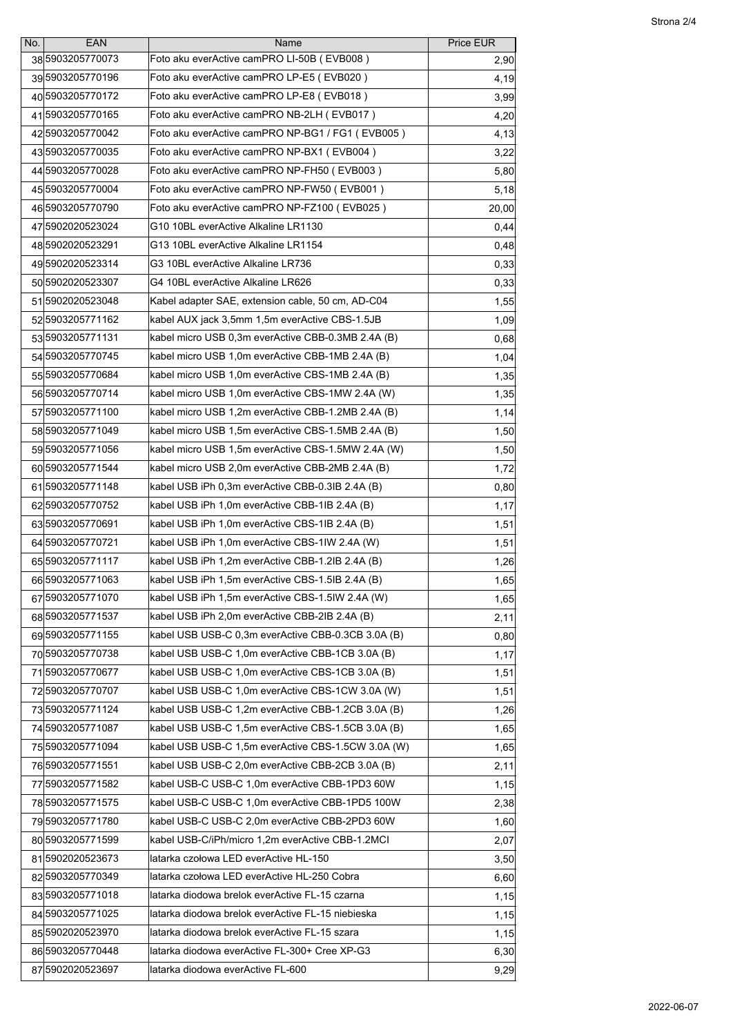| No. | EAN                | Name                                               | Price EUR |
|-----|--------------------|----------------------------------------------------|-----------|
|     | 385903205770073    | Foto aku everActive camPRO LI-50B (EVB008)         | 2,90      |
|     | 395903205770196    | Foto aku everActive camPRO LP-E5 (EVB020)          | 4,19      |
|     | 405903205770172    | Foto aku everActive camPRO LP-E8 (EVB018)          | 3,99      |
|     | 415903205770165    | Foto aku everActive camPRO NB-2LH (EVB017)         | 4,20      |
|     | 42 5903205770042   | Foto aku everActive camPRO NP-BG1 / FG1 (EVB005)   | 4,13      |
|     | 435903205770035    | Foto aku everActive camPRO NP-BX1 (EVB004)         | 3,22      |
|     | 445903205770028    | Foto aku everActive camPRO NP-FH50 (EVB003)        | 5,80      |
|     | 45 5903205770004   | Foto aku everActive camPRO NP-FW50 (EVB001)        | 5,18      |
|     | 46 5903205770790   | Foto aku everActive camPRO NP-FZ100 (EVB025)       | 20,00     |
|     | 47 5902020523024   | G10 10BL everActive Alkaline LR1130                | 0,44      |
|     | 485902020523291    | G13 10BL everActive Alkaline LR1154                | 0,48      |
|     | 495902020523314    | G3 10BL everActive Alkaline LR736                  | 0,33      |
|     | 505902020523307    | G4 10BL everActive Alkaline LR626                  | 0,33      |
|     | 51 5902020523048   | Kabel adapter SAE, extension cable, 50 cm, AD-C04  | 1,55      |
|     | 525903205771162    | kabel AUX jack 3,5mm 1,5m everActive CBS-1.5JB     | 1,09      |
|     | 535903205771131    | kabel micro USB 0.3m everActive CBB-0.3MB 2.4A (B) | 0,68      |
|     | 54 5903205770745   | kabel micro USB 1,0m everActive CBB-1MB 2.4A (B)   | 1,04      |
|     | 55 5903205770684   | kabel micro USB 1,0m everActive CBS-1MB 2.4A (B)   | 1,35      |
|     | 565903205770714    | kabel micro USB 1,0m everActive CBS-1MW 2.4A (W)   | 1,35      |
|     | 575903205771100    | kabel micro USB 1,2m everActive CBB-1.2MB 2.4A (B) | 1,14      |
|     | 585903205771049    | kabel micro USB 1,5m everActive CBS-1.5MB 2.4A (B) | 1,50      |
|     | 595903205771056    | kabel micro USB 1,5m everActive CBS-1.5MW 2.4A (W) | 1,50      |
|     | 60 5903205771544   | kabel micro USB 2,0m everActive CBB-2MB 2.4A (B)   | 1,72      |
|     | 615903205771148    | kabel USB iPh 0,3m everActive CBB-0.3IB 2.4A (B)   | 0,80      |
|     | 62 5903205770752   | kabel USB iPh 1,0m everActive CBB-1IB 2.4A (B)     | 1,17      |
|     | 635903205770691    | kabel USB iPh 1,0m everActive CBS-1IB 2.4A (B)     | 1,51      |
|     | 64 5903205770721   | kabel USB iPh 1,0m everActive CBS-1IW 2.4A (W)     | 1,51      |
|     | 655903205771117    | kabel USB iPh 1,2m everActive CBB-1.2IB 2.4A (B)   | 1,26      |
|     | 665903205771063    | kabel USB iPh 1,5m everActive CBS-1.5IB 2.4A (B)   | 1,65      |
|     | 675903205771070    | kabel USB iPh 1,5m everActive CBS-1.5IW 2.4A (W)   | 1,65      |
|     | 685903205771537    | kabel USB iPh 2,0m everActive CBB-2IB 2.4A (B)     | 2,11      |
|     | 695903205771155    | kabel USB USB-C 0,3m everActive CBB-0.3CB 3.0A (B) | 0,80      |
|     | 705903205770738    | kabel USB USB-C 1,0m everActive CBB-1CB 3.0A (B)   | 1,17      |
|     | 715903205770677    | kabel USB USB-C 1,0m everActive CBS-1CB 3.0A (B)   | 1,51      |
|     | 725903205770707    | kabel USB USB-C 1,0m everActive CBS-1CW 3.0A (W)   | 1,51      |
|     | 735903205771124    | kabel USB USB-C 1,2m everActive CBB-1.2CB 3.0A (B) | 1,26      |
|     | 745903205771087    | kabel USB USB-C 1,5m everActive CBS-1.5CB 3.0A (B) | 1,65      |
|     | 755903205771094    | kabel USB USB-C 1,5m everActive CBS-1.5CW 3.0A (W) | 1,65      |
|     | 765903205771551    | kabel USB USB-C 2,0m everActive CBB-2CB 3.0A (B)   | 2,11      |
|     | 775903205771582    | kabel USB-C USB-C 1,0m everActive CBB-1PD3 60W     | 1,15      |
|     | 785903205771575    | kabel USB-C USB-C 1,0m everActive CBB-1PD5 100W    | 2,38      |
|     | 795903205771780    | kabel USB-C USB-C 2,0m everActive CBB-2PD3 60W     | 1,60      |
|     | 80 5903205771599   | kabel USB-C/iPh/micro 1,2m everActive CBB-1.2MCI   | 2,07      |
|     | 81 590 2020 523673 | latarka czołowa LED everActive HL-150              | 3,50      |
|     | 82 5903205770349   | latarka czołowa LED everActive HL-250 Cobra        | 6,60      |
|     | 835903205771018    | latarka diodowa brelok everActive FL-15 czarna     | 1,15      |
|     | 84 5903205771025   | latarka diodowa brelok everActive FL-15 niebieska  | 1,15      |
|     | 85 590 2020 523970 | latarka diodowa brelok everActive FL-15 szara      | 1,15      |
|     | 86 5903205770448   | llatarka diodowa everActive FL-300+ Cree XP-G3     | 6,30      |
|     | 87 5902020523697   | latarka diodowa everActive FL-600                  | 9,29      |
|     |                    |                                                    |           |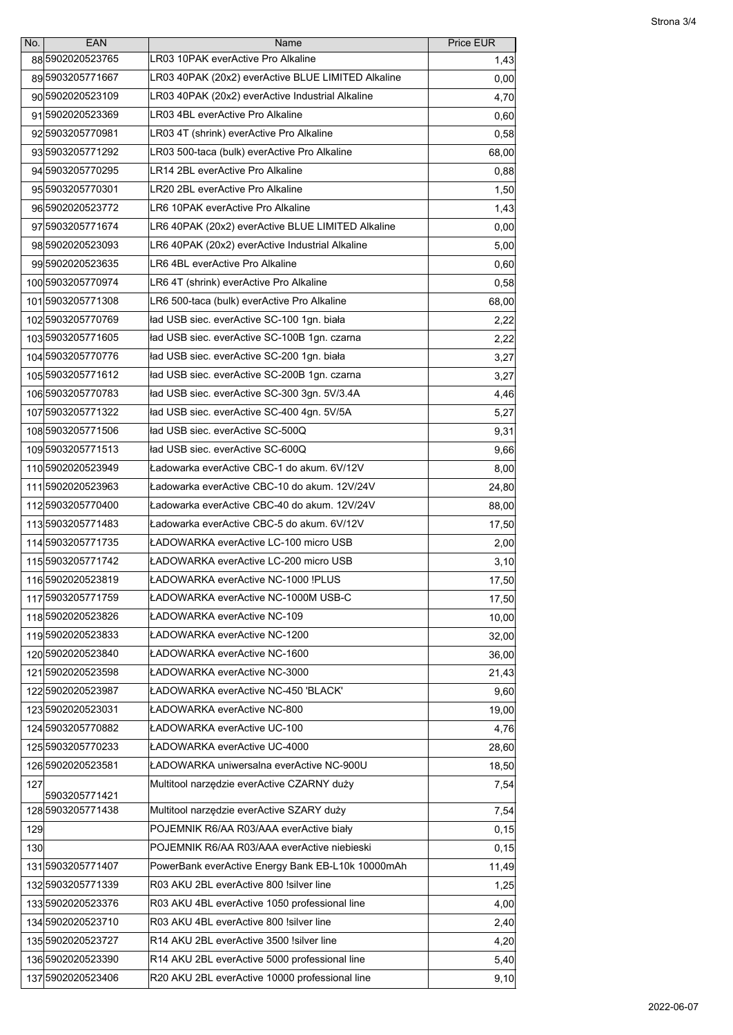| No. | <b>EAN</b>                          | Name                                               | Price EUR |
|-----|-------------------------------------|----------------------------------------------------|-----------|
|     | 88 590 2020 523765                  | LR03 10PAK everActive Pro Alkaline                 | 1,43      |
|     | 895903205771667                     | LR03 40PAK (20x2) everActive BLUE LIMITED Alkaline | 0,00      |
|     | 90 590 2020 523109                  | LR03 40PAK (20x2) everActive Industrial Alkaline   | 4,70      |
|     | 915902020523369                     | LR03 4BL everActive Pro Alkaline                   | 0,60      |
|     | 92 5903205770981                    | LR03 4T (shrink) everActive Pro Alkaline           | 0,58      |
|     | 93 5903205771292                    | LR03 500-taca (bulk) everActive Pro Alkaline       | 68,00     |
|     | 94 5903205770295                    | LR14 2BL everActive Pro Alkaline                   | 0,88      |
|     | 955903205770301                     | LR20 2BL everActive Pro Alkaline                   | 1,50      |
|     | 96 590 2020 523772                  | LR6 10PAK everActive Pro Alkaline                  | 1,43      |
|     | 97 5903205771674                    | LR6 40PAK (20x2) everActive BLUE LIMITED Alkaline  | 0,00      |
|     | 985902020523093                     | LR6 40PAK (20x2) everActive Industrial Alkaline    | 5,00      |
|     | 995902020523635                     | LR6 4BL everActive Pro Alkaline                    | 0,60      |
|     | 1005903205770974                    | LR6 4T (shrink) everActive Pro Alkaline            | 0,58      |
|     | 1015903205771308                    | LR6 500-taca (bulk) everActive Pro Alkaline        | 68,00     |
|     | 1025903205770769                    | ład USB siec. everActive SC-100 1gn. biała         | 2,22      |
|     | 1035903205771605                    | ład USB siec. everActive SC-100B 1gn. czarna       | 2,22      |
|     | 1045903205770776                    | ład USB siec. everActive SC-200 1gn. biała         | 3,27      |
|     | 105 5903205771612                   | ład USB siec. everActive SC-200B 1gn. czarna       | 3,27      |
|     | 1065903205770783                    | ład USB siec. everActive SC-300 3gn. 5V/3.4A       | 4,46      |
|     | 107 5903205771322                   | ład USB siec. everActive SC-400 4gn. 5V/5A         | 5,27      |
|     | 1085903205771506                    | ład USB siec. everActive SC-500Q                   | 9,31      |
|     | 1095903205771513                    | ład USB siec. everActive SC-600Q                   | 9,66      |
|     | 1105902020523949                    | Ładowarka everActive CBC-1 do akum. 6V/12V         | 8,00      |
|     | 1115902020523963                    | Ładowarka everActive CBC-10 do akum. 12V/24V       | 24,80     |
|     | 112 5903205770400                   | Ładowarka everActive CBC-40 do akum. 12V/24V       | 88,00     |
|     | 1135903205771483                    | Ładowarka everActive CBC-5 do akum. 6V/12V         | 17,50     |
|     | 1145903205771735                    | ŁADOWARKA everActive LC-100 micro USB              | 2,00      |
|     | 1155903205771742                    | ŁADOWARKA everActive LC-200 micro USB              | 3,10      |
|     | 116 5902020523819                   | ŁADOWARKA everActive NC-1000 !PLUS                 | 17,50     |
|     | 1175903205771759                    | ŁADOWARKA everActive NC-1000M USB-C                | 17,50     |
|     | 1185902020523826                    | ŁADOWARKA everActive NC-109                        | 10,00     |
|     | 1195902020523833                    | ŁADOWARKA everActive NC-1200                       | 32,00     |
|     | 1205902020523840                    | ŁADOWARKA everActive NC-1600                       | 36,00     |
|     | 1215902020523598                    | ŁADOWARKA everActive NC-3000                       | 21,43     |
|     | 1225902020523987                    | ŁADOWARKA everActive NC-450 'BLACK'                | 9,60      |
|     | 1235902020523031                    | ŁADOWARKA everActive NC-800                        | 19,00     |
|     | 1245903205770882                    | ŁADOWARKA everActive UC-100                        | 4,76      |
|     | 1255903205770233                    | ŁADOWARKA everActive UC-4000                       | 28,60     |
|     | 126 5902020523581                   | ŁADOWARKA uniwersalna everActive NC-900U           | 18,50     |
| 127 |                                     | Multitool narzędzie everActive CZARNY duży         | 7,54      |
|     | 5903205771421 <br>128 5903205771438 | Multitool narzędzie everActive SZARY duży          | 7,54      |
| 129 |                                     | POJEMNIK R6/AA R03/AAA everActive biały            | 0, 15     |
| 130 |                                     | POJEMNIK R6/AA R03/AAA everActive niebieski        | 0, 15     |
|     | 1315903205771407                    | PowerBank everActive Energy Bank EB-L10k 10000mAh  | 11,49     |
|     | 132 5903205771339                   | R03 AKU 2BL everActive 800 !silver line            | 1,25      |
|     | 1335902020523376                    | R03 AKU 4BL everActive 1050 professional line      | 4,00      |
|     | 134 5902020523710                   | R03 AKU 4BL everActive 800 !silver line            | 2,40      |
|     | 135 590 2020 523727                 | R14 AKU 2BL everActive 3500 !silver line           | 4,20      |
|     | 136 5902020523390                   | R14 AKU 2BL everActive 5000 professional line      | 5,40      |
|     | 1375902020523406                    | R20 AKU 2BL everActive 10000 professional line     | 9,10      |
|     |                                     |                                                    |           |